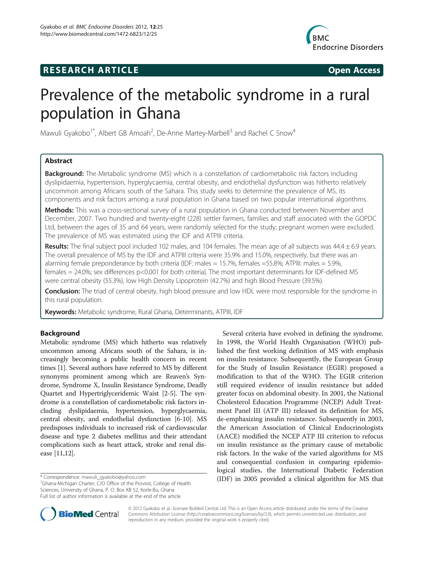## **RESEARCH ARTICLE Example 2014 CONSIDERING CONSIDERING CONSIDERING CONSIDERING CONSIDERING CONSIDERING CONSIDERING CONSIDERING CONSIDERING CONSIDERING CONSIDERING CONSIDERING CONSIDERING CONSIDERING CONSIDERING CONSIDE**



# Prevalence of the metabolic syndrome in a rural population in Ghana

Mawuli Gyakobo<sup>1\*</sup>, Albert GB Amoah<sup>2</sup>, De-Anne Martey-Marbell<sup>3</sup> and Rachel C Snow<sup>4</sup>

## Abstract

**Background:** The Metabolic syndrome (MS) which is a constellation of cardiometabolic risk factors including dyslipidaemia, hypertension, hyperglycaemia, central obesity, and endothelial dysfunction was hitherto relatively uncommon among Africans south of the Sahara. This study seeks to determine the prevalence of MS, its components and risk factors among a rural population in Ghana based on two popular international algorithms.

Methods: This was a cross-sectional survey of a rural population in Ghana conducted between November and December, 2007. Two hundred and twenty-eight (228) settler farmers, families and staff associated with the GOPDC Ltd, between the ages of 35 and 64 years, were randomly selected for the study; pregnant women were excluded. The prevalence of MS was estimated using the IDF and ATPIII criteria.

Results: The final subject pool included 102 males, and 104 females. The mean age of all subjects was  $44.4 \pm 6.9$  years. The overall prevalence of MS by the IDF and ATPIII criteria were 35.9% and 15.0%, respectively, but there was an alarming female preponderance by both criteria {IDF: males = 15.7%, females =55.8%; ATPIII: males = 5.9%, females = 24.0%; sex differences p<0.001 for both criteria}. The most important determinants for IDF-defined MS were central obesity (55.3%), low High Density Lipoprotein (42.7%) and high Blood Pressure (39.5%).

**Conclusion:** The triad of central obesity, high blood pressure and low HDL were most responsible for the syndrome in this rural population.

Keywords: Metabolic syndrome, Rural Ghana, Determinants, ATPIII, IDF

## Background

Metabolic syndrome (MS) which hitherto was relatively uncommon among Africans south of the Sahara, is increasingly becoming a public health concern in recent times [\[1](#page-8-0)]. Several authors have referred to MS by different synonyms prominent among which are Reaven's Syndrome, Syndrome X, Insulin Resistance Syndrome, Deadly Quartet and Hypertriglyceridemic Waist [[2-5\]](#page-8-0). The syndrome is a constellation of cardiometabolic risk factors including dyslipidaemia, hypertension, hyperglycaemia, central obesity, and endothelial dysfunction [\[6](#page-8-0)-[10](#page-8-0)]. MS predisposes individuals to increased risk of cardiovascular disease and type 2 diabetes mellitus and their attendant complications such as heart attack, stroke and renal disease [\[11,12](#page-8-0)].

Several criteria have evolved in defining the syndrome. In 1998, the World Health Organisation (WHO) published the first working definition of MS with emphasis on insulin resistance. Subsequently, the European Group for the Study of Insulin Resistance (EGIR) proposed a modification to that of the WHO. The EGIR criterion still required evidence of insulin resistance but added greater focus on abdominal obesity. In 2001, the National Cholesterol Education Programme (NCEP) Adult Treatment Panel III (ATP III) released its definition for MS, de-emphasizing insulin resistance. Subsequently in 2003, the American Association of Clinical Endocrinologists (AACE) modified the NCEP ATP III criterion to refocus on insulin resistance as the primary cause of metabolic risk factors. In the wake of the varied algorithms for MS and consequential confusion in comparing epidemiological studies, the International Diabetic Federation \* Correspondence: [mawuli\\_gyakobo@yahoo.com](mailto:mawuli_gyakobo@yahoo.com) (IDF) in 2005 provided a clinical algorithm for MS that



© 2012 Gyakobo et al.; licensee BioMed Central Ltd. This is an Open Access article distributed under the terms of the Creative Commons Attribution License [\(http://creativecommons.org/licenses/by/2.0\)](http://creativecommons.org/licenses/by/2.0), which permits unrestricted use, distribution, and reproduction in any medium, provided the original work is properly cited.

<sup>&</sup>lt;sup>1</sup>Ghana-Michigan Charter, C/O Office of the Provost, College of Health Sciences, University of Ghana, P. O. Box KB 52, Korle-Bu, Ghana Full list of author information is available at the end of the article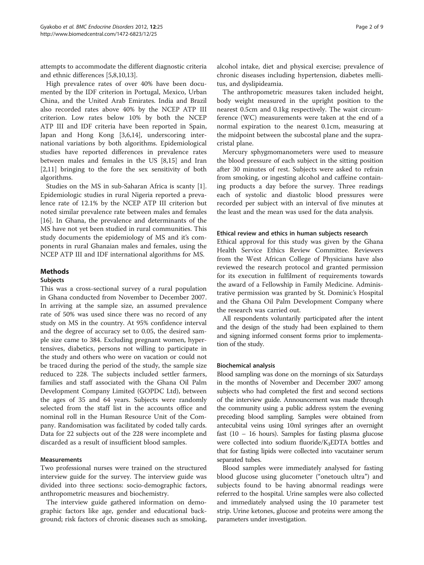attempts to accommodate the different diagnostic criteria and ethnic differences [\[5,8,10,13\]](#page-8-0).

High prevalence rates of over 40% have been documented by the IDF criterion in Portugal, Mexico, Urban China, and the United Arab Emirates. India and Brazil also recorded rates above 40% by the NCEP ATP III criterion. Low rates below 10% by both the NCEP ATP III and IDF criteria have been reported in Spain, Japan and Hong Kong [[3,6,14\]](#page-8-0), underscoring international variations by both algorithms. Epidemiological studies have reported differences in prevalence rates between males and females in the US [\[8,15\]](#page-8-0) and Iran [[2,11\]](#page-8-0) bringing to the fore the sex sensitivity of both algorithms.

Studies on the MS in sub-Saharan Africa is scanty [\[1](#page-8-0)]. Epidemiologic studies in rural Nigeria reported a prevalence rate of 12.1% by the NCEP ATP III criterion but noted similar prevalence rate between males and females [[16\]](#page-8-0). In Ghana, the prevalence and determinants of the MS have not yet been studied in rural communities. This study documents the epidemiology of MS and it's components in rural Ghanaian males and females, using the NCEP ATP III and IDF international algorithms for MS.

## Methods

#### Subjects

This was a cross-sectional survey of a rural population in Ghana conducted from November to December 2007. In arriving at the sample size, an assumed prevalence rate of 50% was used since there was no record of any study on MS in the country. At 95% confidence interval and the degree of accuracy set to 0.05, the desired sample size came to 384. Excluding pregnant women, hypertensives, diabetics, persons not willing to participate in the study and others who were on vacation or could not be traced during the period of the study, the sample size reduced to 228. The subjects included settler farmers, families and staff associated with the Ghana Oil Palm Development Company Limited (GOPDC Ltd), between the ages of 35 and 64 years. Subjects were randomly selected from the staff list in the accounts office and nominal roll in the Human Resource Unit of the Company. Randomisation was facilitated by coded tally cards. Data for 22 subjects out of the 228 were incomplete and discarded as a result of insufficient blood samples.

## Measurements

Two professional nurses were trained on the structured interview guide for the survey. The interview guide was divided into three sections: socio-demographic factors, anthropometric measures and biochemistry.

The interview guide gathered information on demographic factors like age, gender and educational background; risk factors of chronic diseases such as smoking,

alcohol intake, diet and physical exercise; prevalence of chronic diseases including hypertension, diabetes mellitus, and dyslipideamia.

The anthropometric measures taken included height, body weight measured in the upright position to the nearest 0.5cm and 0.1kg respectively. The waist circumference (WC) measurements were taken at the end of a normal expiration to the nearest 0.1cm, measuring at the midpoint between the subcostal plane and the supracristal plane.

Mercury sphygmomanometers were used to measure the blood pressure of each subject in the sitting position after 30 minutes of rest. Subjects were asked to refrain from smoking, or ingesting alcohol and caffeine containing products a day before the survey. Three readings each of systolic and diastolic blood pressures were recorded per subject with an interval of five minutes at the least and the mean was used for the data analysis.

#### Ethical review and ethics in human subjects research

Ethical approval for this study was given by the Ghana Health Service Ethics Review Committee. Reviewers from the West African College of Physicians have also reviewed the research protocol and granted permission for its execution in fulfilment of requirements towards the award of a Fellowship in Family Medicine. Administrative permission was granted by St. Dominic's Hospital and the Ghana Oil Palm Development Company where the research was carried out.

All respondents voluntarily participated after the intent and the design of the study had been explained to them and signing informed consent forms prior to implementation of the study.

### Biochemical analysis

Blood sampling was done on the mornings of six Saturdays in the months of November and December 2007 among subjects who had completed the first and second sections of the interview guide. Announcement was made through the community using a public address system the evening preceding blood sampling. Samples were obtained from antecubital veins using 10ml syringes after an overnight fast (10 – 16 hours). Samples for fasting plasma glucose were collected into sodium fluoride/ $K_3EDTA$  bottles and that for fasting lipids were collected into vacutainer serum separated tubes.

Blood samples were immediately analysed for fasting blood glucose using glucometer ("onetouch ultra") and subjects found to be having abnormal readings were referred to the hospital. Urine samples were also collected and immediately analysed using the 10 parameter test strip. Urine ketones, glucose and proteins were among the parameters under investigation.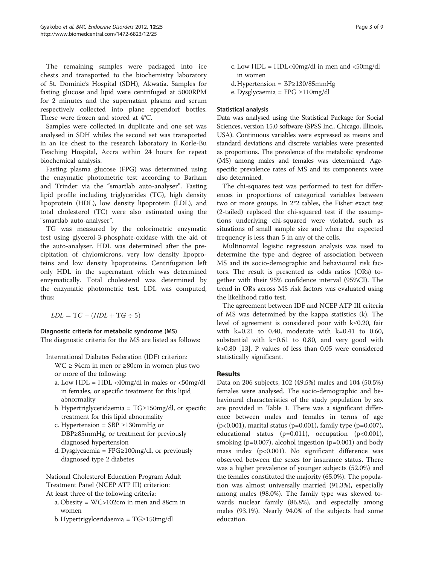The remaining samples were packaged into ice chests and transported to the biochemistry laboratory of St. Dominic's Hospital (SDH), Akwatia. Samples for fasting glucose and lipid were centrifuged at 5000RPM for 2 minutes and the supernatant plasma and serum respectively collected into plane eppendorf bottles. These were frozen and stored at 4°C.

Samples were collected in duplicate and one set was analysed in SDH whiles the second set was transported in an ice chest to the research laboratory in Korle-Bu Teaching Hospital, Accra within 24 hours for repeat biochemical analysis.

Fasting plasma glucose (FPG) was determined using the enzymatic photometric test according to Barham and Trinder via the "smartlab auto-analyser". Fasting lipid profile including triglycerides (TG), high density lipoprotein (HDL), low density lipoprotein (LDL), and total cholesterol (TC) were also estimated using the "smartlab auto-analyser".

TG was measured by the colorimetric enzymatic test using glycerol-3-phosphate-oxidase with the aid of the auto-analyser. HDL was determined after the precipitation of chylomicrons, very low density lipoproteins and low density lipoproteins. Centrifugation left only HDL in the supernatant which was determined enzymatically. Total cholesterol was determined by the enzymatic photometric test. LDL was computed, thus:

 $LDL = TC - (HDL + TG \div 5)$ 

### Diagnostic criteria for metabolic syndrome (MS)

The diagnostic criteria for the MS are listed as follows:

- International Diabetes Federation (IDF) criterion: WC ≥ 94cm in men or ≥80cm in women plus two or more of the following:
	- a. Low  $HDL = HDL  $\langle 40mg/dl \rangle$  in males or  $\langle 50mg/dl \rangle$$ in females, or specific treatment for this lipid abnormality
	- b. Hypertriglyceridaemia = TG≥150mg/dl, or specific treatment for this lipid abnormality
	- c. Hypertension =  $SBP \geq 130$ mmHg or DBP≥85mmHg, or treatment for previously diagnosed hypertension
	- d. Dysglycaemia = FPG≥100mg/dl, or previously diagnosed type 2 diabetes

National Cholesterol Education Program Adult Treatment Panel (NCEP ATP III) criterion: At least three of the following criteria:

- a. Obesity = WC>102cm in men and 88cm in women
- b. Hypertrigylceridaemia = TG≥150mg/dl
- c. Low HDL = HDL<40mg/dl in men and <50mg/dl in women
- d.Hypertension = BP≥130/85mmHg
- e. Dysglycaemia = FPG ≥110mg/dl

## Statistical analysis

Data was analysed using the Statistical Package for Social Sciences, version 15.0 software (SPSS Inc., Chicago, Illinois, USA). Continuous variables were expressed as means and standard deviations and discrete variables were presented as proportions. The prevalence of the metabolic syndrome (MS) among males and females was determined. Agespecific prevalence rates of MS and its components were also determined.

The chi-squares test was performed to test for differences in proportions of categorical variables between two or more groups. In 2\*2 tables, the Fisher exact test (2-tailed) replaced the chi-squared test if the assumptions underlying chi-squared were violated, such as situations of small sample size and where the expected frequency is less than 5 in any of the cells.

Multinomial logistic regression analysis was used to determine the type and degree of association between MS and its socio-demographic and behavioural risk factors. The result is presented as odds ratios (ORs) together with their 95% confidence interval (95%CI). The trend in ORs across MS risk factors was evaluated using the likelihood ratio test.

The agreement between IDF and NCEP ATP III criteria of MS was determined by the kappa statistics (k). The level of agreement is considered poor with k≤0.20, fair with  $k=0.21$  to 0.40, moderate with  $k=0.41$  to 0.60, substantial with k=0.61 to 0.80, and very good with k>0.80 [\[13\]](#page-8-0). P values of less than 0.05 were considered statistically significant.

## Results

Data on 206 subjects, 102 (49.5%) males and 104 (50.5%) females were analysed. The socio-demographic and behavioural characteristics of the study population by sex are provided in Table [1.](#page-3-0) There was a significant difference between males and females in terms of age (p<0.001), marital status (p=0.001), family type (p=0.007), educational status (p=0.011), occupation (p<0.001), smoking (p=0.007), alcohol ingestion (p=0.001) and body mass index (p<0.001). No significant difference was observed between the sexes for insurance status. There was a higher prevalence of younger subjects (52.0%) and the females constituted the majority (65.0%). The population was almost universally married (91.3%), especially among males (98.0%). The family type was skewed towards nuclear family (86.8%), and especially among males (93.1%). Nearly 94.0% of the subjects had some education.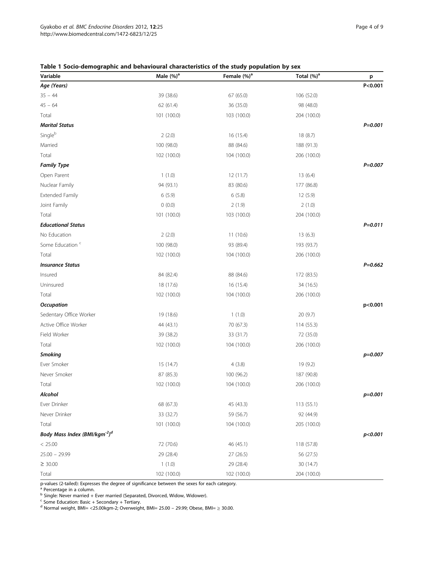<span id="page-3-0"></span>

| Table 1 Socio-demographic and behavioural characteristics of the study population by sex |
|------------------------------------------------------------------------------------------|
|------------------------------------------------------------------------------------------|

| Variable                                 | Male (%) <sup>a</sup> | Female (%) <sup>a</sup> | Total (%) <sup>a</sup> | p           |
|------------------------------------------|-----------------------|-------------------------|------------------------|-------------|
| Age (Years)                              |                       |                         |                        | P < 0.001   |
| $35 - 44$                                | 39 (38.6)             | 67 (65.0)               | 106 (52.0)             |             |
| $45 - 64$                                | 62 (61.4)             | 36 (35.0)               | 98 (48.0)              |             |
| Total                                    | 101 (100.0)           | 103 (100.0)             | 204 (100.0)            |             |
| <b>Marital Status</b>                    |                       |                         |                        | $P = 0.001$ |
| Singleb                                  | 2(2.0)                | 16(15.4)                | 18(8.7)                |             |
| Married                                  | 100 (98.0)            | 88 (84.6)               | 188 (91.3)             |             |
| Total                                    | 102 (100.0)           | 104 (100.0)             | 206 (100.0)            |             |
| <b>Family Type</b>                       |                       |                         |                        | $P = 0.007$ |
| Open Parent                              | 1(1.0)                | 12(11.7)                | 13(6.4)                |             |
| Nuclear Family                           | 94 (93.1)             | 83 (80.6)               | 177 (86.8)             |             |
| <b>Extended Family</b>                   | 6(5.9)                | 6(5.8)                  | 12 (5.9)               |             |
| Joint Family                             | 0(0.0)                | 2(1.9)                  | 2(1.0)                 |             |
| Total                                    | 101 (100.0)           | 103 (100.0)             | 204 (100.0)            |             |
| <b>Educational Status</b>                |                       |                         |                        | $P = 0.011$ |
| No Education                             | 2(2.0)                | 11(10.6)                | 13(6.3)                |             |
| Some Education <sup>c</sup>              | 100 (98.0)            | 93 (89.4)               | 193 (93.7)             |             |
| Total                                    | 102 (100.0)           | 104 (100.0)             | 206 (100.0)            |             |
| <b>Insurance Status</b>                  |                       |                         |                        | $P = 0.662$ |
| Insured                                  | 84 (82.4)             | 88 (84.6)               | 172 (83.5)             |             |
| Uninsured                                | 18 (17.6)             | 16(15.4)                | 34 (16.5)              |             |
| Total                                    | 102 (100.0)           | 104 (100.0)             | 206 (100.0)            |             |
| Occupation                               |                       |                         |                        | p<0.001     |
| Sedentary Office Worker                  | 19 (18.6)             | 1(1.0)                  | 20(9.7)                |             |
| Active Office Worker                     | 44 (43.1)             | 70 (67.3)               | 114 (55.3)             |             |
| Field Worker                             | 39 (38.2)             | 33 (31.7)               | 72 (35.0)              |             |
| Total                                    | 102 (100.0)           | 104 (100.0)             | 206 (100.0)            |             |
| <b>Smoking</b>                           |                       |                         |                        | $p = 0.007$ |
| Ever Smoker                              | 15 (14.7)             | 4(3.8)                  | 19 (9.2)               |             |
| Never Smoker                             | 87 (85.3)             | 100 (96.2)              | 187 (90.8)             |             |
| Total                                    | 102 (100.0)           | 104 (100.0)             | 206 (100.0)            |             |
| Alcohol                                  |                       |                         |                        | $p = 0.001$ |
| Ever Drinker                             | 68 (67.3)             | 45 (43.3)               | 113 (55.1)             |             |
| Never Drinker                            | 33 (32.7)             | 59 (56.7)               | 92 (44.9)              |             |
| Total                                    | 101 (100.0)           | 104 (100.0)             | 205 (100.0)            |             |
| Body Mass Index (BMI/kgm <sup>-2)d</sup> |                       |                         |                        | p<0.001     |
| < 25.00                                  | 72 (70.6)             | 46 (45.1)               | 118 (57.8)             |             |
| $25.00 - 29.99$                          | 29 (28.4)             | 27(26.5)                | 56 (27.5)              |             |
| $\geq 30.00$                             | 1(1.0)                | 29 (28.4)               | 30 (14.7)              |             |
| Total                                    | 102 (100.0)           | 102 (100.0)             | 204 (100.0)            |             |

p-values (2-tailed): Expresses the degree of significance between the sexes for each category.<br><sup>a</sup> Percentage in a column.

<sup>b</sup> Single: Never married + Ever married (Separated, Divorced, Widow, Widower).

 $\epsilon$  Some Education: Basic + Secondary + Tertiary.

<sup>d</sup> Normal weight, BMI= <25.00kgm-2; Overweight, BMI= 25.00 – 29.99; Obese, BMI= ≥ 30.00.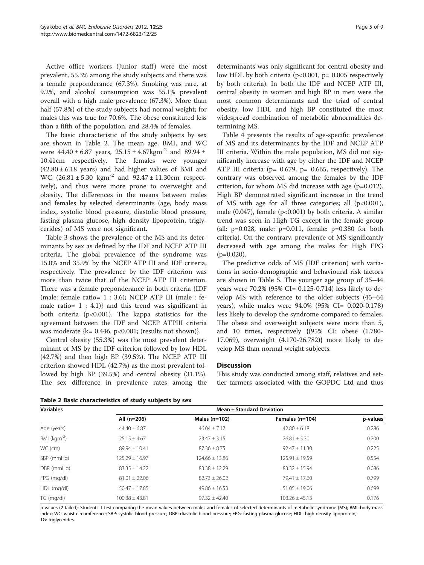Active office workers (Junior staff) were the most prevalent, 55.3% among the study subjects and there was a female preponderance (67.3%). Smoking was rare, at 9.2%, and alcohol consumption was 55.1% prevalent overall with a high male prevalence (67.3%). More than half (57.8%) of the study subjects had normal weight; for males this was true for 70.6%. The obese constituted less than a fifth of the population, and 28.4% of females.

The basic characteristic of the study subjects by sex are shown in Table 2. The mean age, BMI, and WC were  $44.40 \pm 6.87$  years,  $25.15 \pm 4.67$  kgm<sup>-2</sup> and  $89.94 \pm$ 10.41cm respectively. The females were younger  $(42.80 \pm 6.18$  years) and had higher values of BMI and WC  $(26.81 \pm 5.30 \text{ kgm}^{-2} \text{ and } 92.47 \pm 11.30 \text{ cm} \text{ respectively})$ ively), and thus were more prone to overweight and obesity. The differences in the means between males and females by selected determinants (age, body mass index, systolic blood pressure, diastolic blood pressure, fasting plasma glucose, high density lipoprotein, triglycerides) of MS were not significant.

Table [3](#page-5-0) shows the prevalence of the MS and its determinants by sex as defined by the IDF and NCEP ATP III criteria. The global prevalence of the syndrome was 15.0% and 35.9% by the NCEP ATP III and IDF criteria, respectively. The prevalence by the IDF criterion was more than twice that of the NCEP ATP III criterion. There was a female preponderance in both criteria {IDF (male: female ratio= 1 : 3.6); NCEP ATP III (male : female ratio=  $1 : 4.1$ } and this trend was significant in both criteria (p<0.001). The kappa statistics for the agreement between the IDF and NCEP ATPIII criteria was moderate  ${k = 0.446, p < 0.001}$ ; (results not shown)}.

Central obesity (55.3%) was the most prevalent determinant of MS by the IDF criterion followed by low HDL (42.7%) and then high BP (39.5%). The NCEP ATP III criterion showed HDL (42.7%) as the most prevalent followed by high BP (39.5%) and central obesity (31.1%). The sex difference in prevalence rates among the

determinants was only significant for central obesity and low HDL by both criteria ( $p<0.001$ ,  $p= 0.005$  respectively by both criteria). In both the IDF and NCEP ATP III, central obesity in women and high BP in men were the most common determinants and the triad of central obesity, low HDL and high BP constituted the most widespread combination of metabolic abnormalities determining MS.

Table [4](#page-5-0) presents the results of age-specific prevalence of MS and its determinants by the IDF and NCEP ATP III criteria. Within the male population, MS did not significantly increase with age by either the IDF and NCEP ATP III criteria (p= 0.679, p= 0.665, respectively). The contrary was observed among the females by the IDF criterion, for whom MS did increase with age (p=0.012). High BP demonstrated significant increase in the trend of MS with age for all three categories; all  $(p<0.001)$ , male (0.047), female (p<0.001) by both criteria. A similar trend was seen in High TG except in the female group (all:  $p=0.028$ , male:  $p=0.011$ , female:  $p=0.380$  for both criteria). On the contrary, prevalence of MS significantly decreased with age among the males for High FPG  $(p=0.020)$ .

The predictive odds of MS (IDF criterion) with variations in socio-demographic and behavioural risk factors are shown in Table [5.](#page-6-0) The younger age group of 35–44 years were 70.2% (95% CI= 0.125-0.714) less likely to develop MS with reference to the older subjects (45–64 years), while males were 94.0% (95% CI= 0.020-0.178) less likely to develop the syndrome compared to females. The obese and overweight subjects were more than 5, and 10 times, respectively {(95% CI: obese (1.780- 17.069), overweight (4.170-26.782)} more likely to develop MS than normal weight subjects.

### **Discussion**

This study was conducted among staff, relatives and settler farmers associated with the GOPDC Ltd and thus

Table 2 Basic characteristics of study subjects by sex

p-values (2-tailed): Students T-test comparing the mean values between males and females of selected determinants of metabolic syndrome (MS); BMI: body mass index; WC: waist circumference; SBP: systolic blood pressure; DBP: diastolic blood pressure; FPG: fasting plasma glucose; HDL: high density lipoprotein; TG: triglycerides.

| <b>Variables</b>          | Mean ± Standard Deviation |                   |                    |          |  |  |  |
|---------------------------|---------------------------|-------------------|--------------------|----------|--|--|--|
|                           | All (n=206)               | Males $(n=102)$   | Females $(n=104)$  | p-values |  |  |  |
| Age (years)               | $44.40 \pm 6.87$          | $46.04 \pm 7.17$  | $42.80 \pm 6.18$   | 0.286    |  |  |  |
| BMI ( $\text{kgm}^{-2}$ ) | $25.15 \pm 4.67$          | $23.47 \pm 3.15$  | $26.81 \pm 5.30$   | 0.200    |  |  |  |
| WC (cm)                   | $89.94 \pm 10.41$         | $87.36 \pm 8.75$  | $92.47 + 11.30$    | 0.225    |  |  |  |
| SBP (mmHg)                | $125.29 \pm 16.97$        | 124.66 ± 13.86    | $125.91 \pm 19.59$ | 0.554    |  |  |  |
| DBP (mmHg)                | $83.35 \pm 14.22$         | $83.38 \pm 12.29$ | $83.32 \pm 15.94$  | 0.086    |  |  |  |
| FPG (mg/dl)               | $81.01 \pm 22.06$         | $82.73 \pm 26.02$ | $79.41 \pm 17.60$  | 0.799    |  |  |  |
| HDL (mg/dl)               | $50.47 \pm 17.85$         | $49.86 + 16.53$   | $51.05 \pm 19.06$  | 0.699    |  |  |  |
| TG (mg/dl)                | $100.38 + 43.81$          | $97.32 \pm 42.40$ | $103.26 \pm 45.13$ | 0.176    |  |  |  |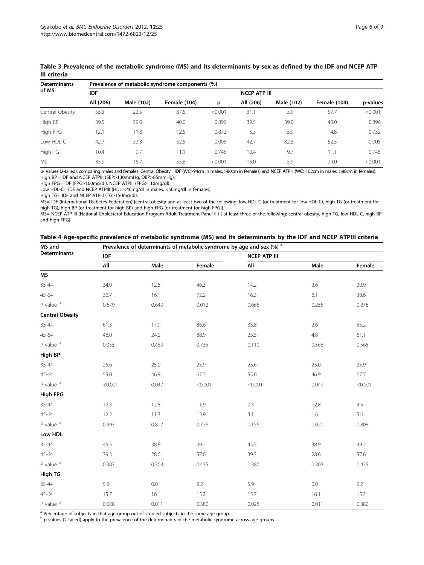| <b>Determinants</b><br>of MS | Prevalence of metabolic syndrome components (%) |            |              |         |                     |            |              |          |  |
|------------------------------|-------------------------------------------------|------------|--------------|---------|---------------------|------------|--------------|----------|--|
|                              | <b>IDF</b>                                      |            |              |         | <b>NCEP ATP III</b> |            |              |          |  |
|                              | All (206)                                       | Male (102) | Female (104) | р       | All (206)           | Male (102) | Female (104) | p-values |  |
| Central Obesity              | 55.3                                            | 22.5       | 87.5         | < 0.001 | 31.1                | 3.9        | 57.7         | < 0.001  |  |
| High BP                      | 39.5                                            | 39.0       | 40.0         | 0.896   | 39.5                | 39.0       | 40.0         | 0.896    |  |
| High FPG                     | 12.1                                            | 11.8       | 12.5         | 0.872   | 5.3                 | 5.9        | 4.8          | 0.732    |  |
| Low HDL-C                    | 42.7                                            | 32.3       | 52.5         | 0.005   | 42.7                | 32.3       | 52.5         | 0.005    |  |
| High TG                      | 10.4                                            | 9.7        | 11.1         | 0.745   | 10.4                | 9.7        | 11.1         | 0.745    |  |
| <b>MS</b>                    | 35.9                                            | 15.7       | 55.8         | < 0.001 | 15.0                | 5.9        | 24.0         | < 0.001  |  |

<span id="page-5-0"></span>Table 3 Prevalence of the metabolic syndrome (MS) and its determinants by sex as defined by the IDF and NCEP ATP III criteria

p- Values (2-tailed): comparing males and females; Central Obesity= IDF {WC≥94cm in males, ≥80cm in females} and NCEP ATPIII {WC>102cm in males, >88cm in females}. High BP= IDF and NCEP ATPIII {SBP≥130mmHg, DBP≥85mmHg}.

High FPG= IDF {FPG≥100mg/dl}, NCEP ATPIII {FPG≥110mg/dl}.

Low HDL-C= IDF and NCEP ATPIII {HDL <40mg/dl in males, <50mg/dl in females}.

High TG= IDF and NCEP ATPIII {TG≥150mg/dl}.

MS= IDF (International Diabetes Federation) {central obesity and at least two of the following: low HDL-C (or treatment for low HDL-C), high TG (or treatment for high TG), high BP (or treatment for high BP) and high FPG (or treatment for high FPG)}.

MS= NCEP ATP III (National Cholesterol Education Program Adult Treatment Panel III) { at least three of the following: central obesity, high TG, low HDL-C, high BP and high FPG}.

| Table 4 Age-specific prevalence of metabolic syndrome (MS) and its determinants by the IDF and NCEP ATPIII criteria |  |  |
|---------------------------------------------------------------------------------------------------------------------|--|--|
|---------------------------------------------------------------------------------------------------------------------|--|--|

| MS and<br><b>Determinants</b> | Prevalence of determinants of metabolic syndrome by age and sex (%) a |       |         |                     |         |         |  |
|-------------------------------|-----------------------------------------------------------------------|-------|---------|---------------------|---------|---------|--|
|                               | <b>IDF</b>                                                            |       |         | <b>NCEP ATP III</b> |         |         |  |
|                               | All                                                                   | Male  | Female  | All                 | Male    | Female  |  |
| MS                            |                                                                       |       |         |                     |         |         |  |
| 35-44                         | 34.0                                                                  | 12.8  | 46.3    | 14.2                | 2.6     | 20.9    |  |
| 45-64                         | 36.7                                                                  | 16.1  | 72.2    | 16.3                | 8.1     | 30.6    |  |
| $P$ value $b$                 | 0.679                                                                 | 0.649 | 0.012   | 0.665               | 0.255   | 0.276   |  |
| <b>Central Obesity</b>        |                                                                       |       |         |                     |         |         |  |
| 35-44                         | 61.3                                                                  | 17.9  | 86.6    | 35.8                | $2.6\,$ | 55.2    |  |
| 45-64                         | 48.0                                                                  | 24.2  | 88.9    | 25.5                | $4.8\,$ | 61.1    |  |
| P value b                     | 0.055                                                                 | 0.459 | 0.735   | 0.110               | 0.568   | 0.565   |  |
| <b>High BP</b>                |                                                                       |       |         |                     |         |         |  |
| 35-44                         | 25.6                                                                  | 25.0  | 25.9    | 25.6                | 25.0    | 25.9    |  |
| 45-64                         | 55.0                                                                  | 46.9  | 67.7    | 55.0                | 46.9    | 67.7    |  |
| P value b                     | < 0.001                                                               | 0.047 | < 0.001 | < 0.001             | 0.047   | < 0.001 |  |
| <b>High FPG</b>               |                                                                       |       |         |                     |         |         |  |
| 35-44                         | 12.3                                                                  | 12.8  | 11.9    | 7.5                 | 12.8    | 4.5     |  |
| 45-64                         | 12.2                                                                  | 11.3  | 13.9    | 3.1                 | 1.6     | 5.6     |  |
| P value b                     | 0.997                                                                 | 0.817 | 0.776   | 0.156               | 0.020   | 0.808   |  |
| Low HDL                       |                                                                       |       |         |                     |         |         |  |
| 35-44                         | 45.5                                                                  | 38.9  | 49.2    | 45.5                | 38.9    | 49.2    |  |
| 45-64                         | 39.3                                                                  | 28.6  | 57.6    | 39.3                | 28.6    | 57.6    |  |
| P value b                     | 0.387                                                                 | 0.303 | 0.435   | 0.387               | 0.303   | 0.435   |  |
| <b>High TG</b>                |                                                                       |       |         |                     |         |         |  |
| 35-44                         | 5.9                                                                   | 0.0   | 9.2     | 5.9                 | 0.0     | 9.2     |  |
| 45-64                         | 15.7                                                                  | 16.1  | 15.2    | 15.7                | 16.1    | 15.2    |  |
| P value b                     | 0.028                                                                 | 0.011 | 0.380   | 0.028               | 0.011   | 0.380   |  |

<sup>a</sup> Percentage of subjects in that age group out of studied subjects in the same age group.

b p-values (2-tailed) apply to the prevalence of the determinants of the metabolic syndrome across age groups.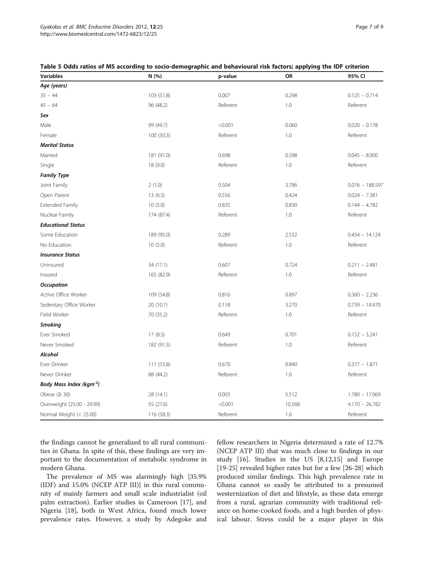| <b>Variables</b>                     | N (%)      | p-value  | OR     | 95% CI            |
|--------------------------------------|------------|----------|--------|-------------------|
| Age (years)                          |            |          |        |                   |
| $35 - 44$                            | 103 (51.8) | 0.007    | 0.298  | $0.125 - 0.714$   |
| $45 - 64$                            | 96 (48.2)  | Referent | 1.0    | Referent          |
| Sex                                  |            |          |        |                   |
| Male                                 | 99 (49.7)  | < 0.001  | 0.060  | $0.020 - 0.178$   |
| Female                               | 100 (50.3) | Referent | 1.0    | Referent          |
| <b>Marital Status</b>                |            |          |        |                   |
| Married                              | 181 (91.0) | 0.698    | 0.598  | $0.045 - 8.000$   |
| Single                               | 18 (9.0)   | Referent | 1.0    | Referent          |
| <b>Family Type</b>                   |            |          |        |                   |
| Joint Family                         | 2(1.0)     | 0.504    | 3.786  | $0.076 - 188.597$ |
| Open Parent                          | 13(6.5)    | 0.556    | 0.424  | $0.024 - 7.381$   |
| <b>Extended Family</b>               | 10(5.0)    | 0.835    | 0.830  | $0.144 - 4.782$   |
| Nuclear Family                       | 174 (87.4) | Referent | 1.0    | Referent          |
| <b>Educational Status</b>            |            |          |        |                   |
| Some Education                       | 189 (95.0) | 0.289    | 2.532  | $0.454 - 14.124$  |
| No Education                         | 10(5.0)    | Referent | 1.0    | Referent          |
| <b>Insurance Status</b>              |            |          |        |                   |
| Uninsured                            | 34 (17.1)  | 0.607    | 0.724  | $0.211 - 2.481$   |
| Insured                              | 165 (82.9) | Referent | 1.0    | Referent          |
| <b>Occupation</b>                    |            |          |        |                   |
| Active Office Worker                 | 109 (54.8) | 0.816    | 0.897  | $0.360 - 2.236$   |
| Sedentary Office Worker              | 20(10.1)   | 0.118    | 3.270  | $0.739 - 14.470$  |
| Field Worker                         | 70 (35.2)  | Referent | 1.0    | Referent          |
| <b>Smoking</b>                       |            |          |        |                   |
| Ever Smoked                          | 17(8.5)    | 0.649    | 0.701  | $0.152 - 3.241$   |
| Never Smoked                         | 182 (91.5) | Referent | 1.0    | Referent          |
| Alcohol                              |            |          |        |                   |
| Ever Drinker                         | 111 (55.8) | 0.670    | 0.840  | $0.377 - 1.871$   |
| Never Drinker                        | 88 (44.2)  | Referent | 1.0    | Referent          |
| Body Mass Index (kgm <sup>-2</sup> ) |            |          |        |                   |
| Obese $(2 30)$                       | 28 (14.1)  | 0.003    | 5.512  | $1.780 - 17.069$  |
| Overweight (25.00 - 29.99)           | 55 (27.6)  | < 0.001  | 10.568 | $4.170 - 26.782$  |
| Normal Weight (< 25.00)              | 116 (58.3) | Referent | 1.0    | Referent          |

#### <span id="page-6-0"></span>Table 5 Odds ratios of MS according to socio-demographic and behavioural risk factors; applying the IDF criterion

the findings cannot be generalized to all rural communities in Ghana. In spite of this, these findings are very important to the documentation of metabolic syndrome in modern Ghana.

The prevalence of MS was alarmingly high {35.9% (IDF) and 15.0% (NCEP ATP III)} in this rural community of mainly farmers and small scale industrialist (oil palm extraction). Earlier studies in Cameroon [\[17](#page-8-0)], and Nigeria [[18\]](#page-8-0), both in West Africa, found much lower prevalence rates. However, a study by Adegoke and fellow researchers in Nigeria determined a rate of 12.7% (NCEP ATP III) that was much close to findings in our study [\[16](#page-8-0)]. Studies in the US [\[8,12,15](#page-8-0)] and Europe [[19-25](#page-8-0)] revealed higher rates but for a few [[26-28\]](#page-8-0) which produced similar findings. This high prevalence rate in Ghana cannot so easily be attributed to a presumed westernization of diet and lifestyle, as these data emerge from a rural, agrarian community with traditional reliance on home-cooked foods, and a high burden of physical labour. Stress could be a major player in this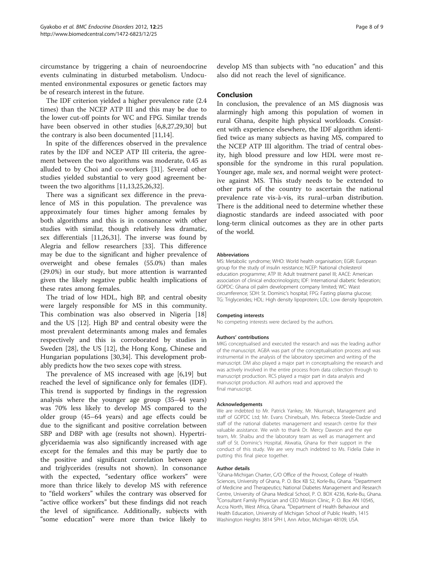circumstance by triggering a chain of neuroendocrine events culminating in disturbed metabolism. Undocumented environmental exposures or genetic factors may be of research interest in the future.

The IDF criterion yielded a higher prevalence rate (2.4 times) than the NCEP ATP III and this may be due to the lower cut-off points for WC and FPG. Similar trends have been observed in other studies [\[6,8,27,29,30\]](#page-8-0) but the contrary is also been documented [\[11,14\]](#page-8-0).

In spite of the differences observed in the prevalence rates by the IDF and NCEP ATP III criteria, the agreement between the two algorithms was moderate, 0.45 as alluded to by Choi and co-workers [\[31](#page-8-0)]. Several other studies yielded substantial to very good agreement between the two algorithms [\[11,13,25,26,32\]](#page-8-0).

There was a significant sex difference in the prevalence of MS in this population. The prevalence was approximately four times higher among females by both algorithms and this is in consonance with other studies with similar, though relatively less dramatic, sex differentials [\[11,26,31](#page-8-0)]. The inverse was found by Alegria and fellow researchers [[33\]](#page-8-0). This difference may be due to the significant and higher prevalence of overweight and obese females (55.0%) than males (29.0%) in our study, but more attention is warranted given the likely negative public health implications of these rates among females.

The triad of low HDL, high BP, and central obesity were largely responsible for MS in this community. This combination was also observed in Nigeria [[18](#page-8-0)] and the US [\[12\]](#page-8-0). High BP and central obesity were the most prevalent determinants among males and females respectively and this is corroborated by studies in Sweden [[28\]](#page-8-0), the US [\[12](#page-8-0)], the Hong Kong, Chinese and Hungarian populations [[30](#page-8-0),[34\]](#page-8-0). This development probably predicts how the two sexes cope with stress.

The prevalence of MS increased with age [\[6,19](#page-8-0)] but reached the level of significance only for females (IDF). This trend is supported by findings in the regression analysis where the younger age group (35–44 years) was 70% less likely to develop MS compared to the older group (45–64 years) and age effects could be due to the significant and positive correlation between SBP and DBP with age (results not shown). Hypertriglyceridaemia was also significantly increased with age except for the females and this may be partly due to the positive and significant correlation between age and triglycerides (results not shown). In consonance with the expected, "sedentary office workers" were more than thrice likely to develop MS with reference to "field workers" whiles the contrary was observed for "active office workers" but these findings did not reach the level of significance. Additionally, subjects with "some education" were more than twice likely to develop MS than subjects with "no education" and this also did not reach the level of significance.

### Conclusion

In conclusion, the prevalence of an MS diagnosis was alarmingly high among this population of women in rural Ghana, despite high physical workloads. Consistent with experience elsewhere, the IDF algorithm identified twice as many subjects as having MS, compared to the NCEP ATP III algorithm. The triad of central obesity, high blood pressure and low HDL were most responsible for the syndrome in this rural population. Younger age, male sex, and normal weight were protective against MS. This study needs to be extended to other parts of the country to ascertain the national prevalence rate vis-à-vis, its rural–urban distribution. There is the additional need to determine whether these diagnostic standards are indeed associated with poor long-term clinical outcomes as they are in other parts of the world.

#### **Abbreviations**

MS: Metabolic syndrome; WHO: World health organisation; EGIR: European group for the study of insulin resistance; NCEP: National cholesterol education programme; ATP III: Adult treatment panel III; AACE: American association of clinical endocrinologists; IDF: International diabetic federation; GOPDC: Ghana oil palm development company limited; WC: Waist circumference; SDH: St. Dominic's hospital; FPG: Fasting plasma glucose; TG: Triglycerides; HDL: High density lipoprotein; LDL: Low density lipoprotein.

#### Competing interests

No competing interests were declared by the authors.

#### Authors' contributions

MKG conceptualised and executed the research and was the leading author of the manuscript. AGBA was part of the conceptualisation process and was instrumental in the analysis of the laboratory specimen and writing of the manuscript. DM also played a major part in conceptualising the research and was actively involved in the entire process from data collection through to manuscript production. RCS played a major part in data analysis and manuscript production. All authors read and approved the final manuscript.

#### Acknowledgements

We are indebted to Mr. Patrick Yankey, Mr. Nkumsah, Management and staff of GOPDC Ltd; Mr. Evans Chinebuah, Mrs. Rebecca Steele-Dadzie and staff of the national diabetes management and research centre for their valuable assistance. We wish to thank Dr. Mercy Dawson and the eye team, Mr. Shaibu and the laboratory team as well as management and staff of St. Dominic's Hospital, Akwatia, Ghana for their support in the conduct of this study. We are very much indebted to Ms. Fidelia Dake in putting this final piece together.

#### Author details

<sup>1</sup>Ghana-Michigan Charter, C/O Office of the Provost, College of Health Sciences, University of Ghana, P. O. Box KB 52, Korle-Bu, Ghana. <sup>2</sup>Department of Medicine and Therapeutics; National Diabetes Management and Research Centre, University of Ghana Medical School, P. O. BOX 4236, Korle-Bu, Ghana. <sup>3</sup> Consultant Family Physician and CEO Mission Clinic, P. O. Box AN 10545 Accra North, West Africa, Ghana. <sup>4</sup>Department of Health Behaviour and Health Education, University of Michigan School of Public Health, 1415 Washington Heights 3814 SPH I, Ann Arbor, Michigan 48109, USA.